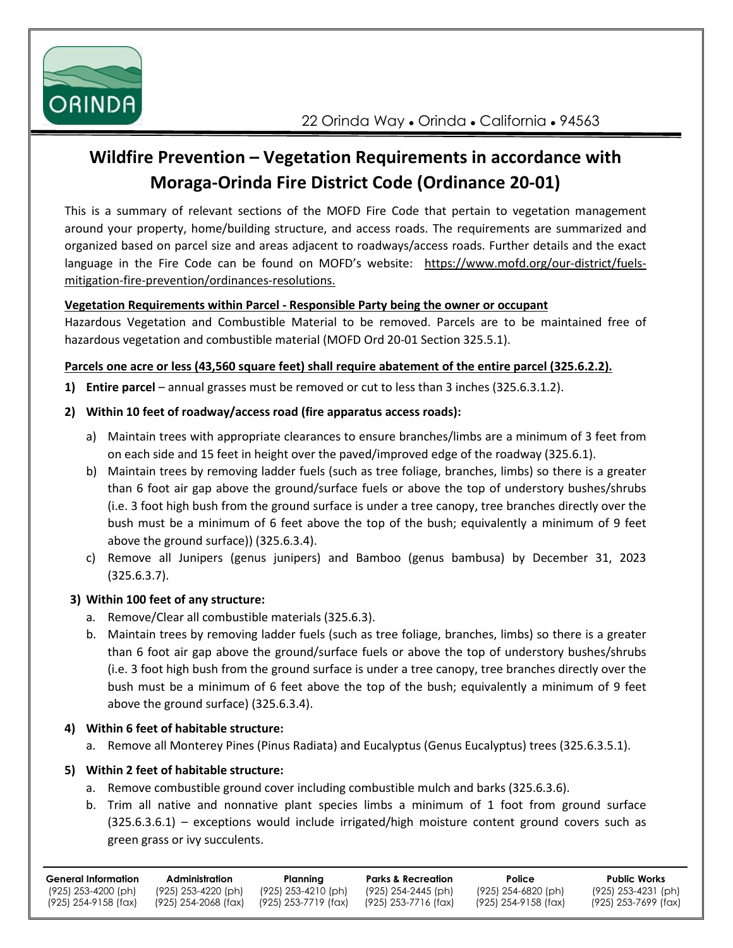

# **Wildfire Prevention – Vegetation Requirements in accordance with Moraga-Orinda Fire District Code (Ordinance 20-01)**

This is a summary of relevant sections of the MOFD Fire Code that pertain to vegetation management around your property, home/building structure, and access roads. The requirements are summarized and organized based on parcel size and areas adjacent to roadways/access roads. Further details and the exact language in the Fire Code can be found on MOFD's website: https://www.mofd.org/our-district/fuelsmitigation-fire-prevention/ordinances-resolutions.

### **Vegetation Requirements within Parcel - Responsible Party being the owner or occupant**

Hazardous Vegetation and Combustible Material to be removed. Parcels are to be maintained free of hazardous vegetation and combustible material (MOFD Ord 20-01 Section 325.5.1).

#### **Parcels one acre or less (43,560 square feet) shall require abatement of the entire parcel (325.6.2.2).**

**1) Entire parcel** – annual grasses must be removed or cut to less than 3 inches (325.6.3.1.2).

### **2) Within 10 feet of roadway/access road (fire apparatus access roads):**

- a) Maintain trees with appropriate clearances to ensure branches/limbs are a minimum of 3 feet from on each side and 15 feet in height over the paved/improved edge of the roadway (325.6.1).
- b) Maintain trees by removing ladder fuels (such as tree foliage, branches, limbs) so there is a greater than 6 foot air gap above the ground/surface fuels or above the top of understory bushes/shrubs (i.e. 3 foot high bush from the ground surface is under a tree canopy, tree branches directly over the bush must be a minimum of 6 feet above the top of the bush; equivalently a minimum of 9 feet above the ground surface)) (325.6.3.4).
- c) Remove all Junipers (genus junipers) and Bamboo (genus bambusa) by December 31, 2023 (325.6.3.7).

## **3) Within 100 feet of any structure:**

- a. Remove/Clear all combustible materials (325.6.3).
- b. Maintain trees by removing ladder fuels (such as tree foliage, branches, limbs) so there is a greater than 6 foot air gap above the ground/surface fuels or above the top of understory bushes/shrubs (i.e. 3 foot high bush from the ground surface is under a tree canopy, tree branches directly over the bush must be a minimum of 6 feet above the top of the bush; equivalently a minimum of 9 feet above the ground surface) (325.6.3.4).

#### **4) Within 6 feet of habitable structure:**

a. Remove all Monterey Pines (Pinus Radiata) and Eucalyptus (Genus Eucalyptus) trees (325.6.3.5.1).

## **5) Within 2 feet of habitable structure:**

- a. Remove combustible ground cover including combustible mulch and barks (325.6.3.6).
- b. Trim all native and nonnative plant species limbs a minimum of 1 foot from ground surface (325.6.3.6.1) – exceptions would include irrigated/high moisture content ground covers such as green grass or ivy succulents.

| General Information  | Administration        | Planning              | <b>Parks &amp; Recreation</b> | Police               | <b>Public Works</b>  |
|----------------------|-----------------------|-----------------------|-------------------------------|----------------------|----------------------|
| (925) 253-4200 (ph)  | $(925)$ 253-4220 (ph) | $(925)$ 253-4210 (ph) | (925) 254-2445 (ph)           | (925) 254-6820 (ph)  | (925) 253-4231 (ph)  |
| (925) 254-9158 (fax) | (925) 254-2068 (fax)  | (925) 253-7719 (fax)  | (925) 253-7716 (fax)          | (925) 254-9158 (fax) | (925) 253-7699 (fax) |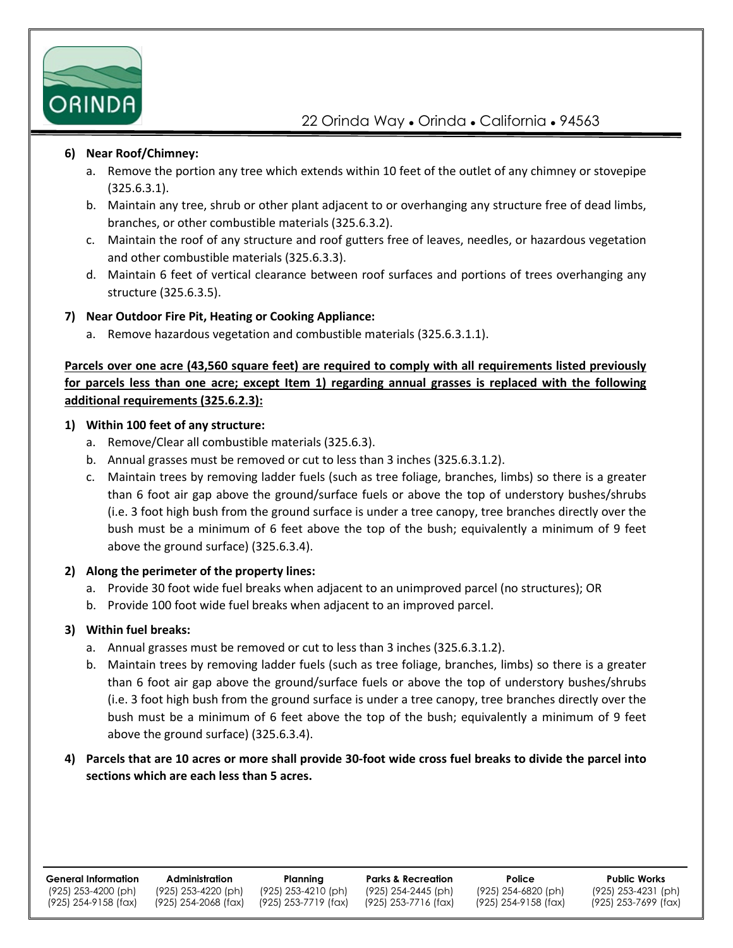

#### **6) Near Roof/Chimney:**

- a. Remove the portion any tree which extends within 10 feet of the outlet of any chimney or stovepipe (325.6.3.1).
- b. Maintain any tree, shrub or other plant adjacent to or overhanging any structure free of dead limbs, branches, or other combustible materials (325.6.3.2).
- c. Maintain the roof of any structure and roof gutters free of leaves, needles, or hazardous vegetation and other combustible materials (325.6.3.3).
- d. Maintain 6 feet of vertical clearance between roof surfaces and portions of trees overhanging any structure (325.6.3.5).

#### **7) Near Outdoor Fire Pit, Heating or Cooking Appliance:**

a. Remove hazardous vegetation and combustible materials (325.6.3.1.1).

## **Parcels over one acre (43,560 square feet) are required to comply with all requirements listed previously for parcels less than one acre; except Item 1) regarding annual grasses is replaced with the following additional requirements (325.6.2.3):**

### **1) Within 100 feet of any structure:**

- a. Remove/Clear all combustible materials (325.6.3).
- b. Annual grasses must be removed or cut to less than 3 inches (325.6.3.1.2).
- c. Maintain trees by removing ladder fuels (such as tree foliage, branches, limbs) so there is a greater than 6 foot air gap above the ground/surface fuels or above the top of understory bushes/shrubs (i.e. 3 foot high bush from the ground surface is under a tree canopy, tree branches directly over the bush must be a minimum of 6 feet above the top of the bush; equivalently a minimum of 9 feet above the ground surface) (325.6.3.4).

#### **2) Along the perimeter of the property lines:**

- a. Provide 30 foot wide fuel breaks when adjacent to an unimproved parcel (no structures); OR
- b. Provide 100 foot wide fuel breaks when adjacent to an improved parcel.

#### **3) Within fuel breaks:**

- a. Annual grasses must be removed or cut to less than 3 inches (325.6.3.1.2).
- b. Maintain trees by removing ladder fuels (such as tree foliage, branches, limbs) so there is a greater than 6 foot air gap above the ground/surface fuels or above the top of understory bushes/shrubs (i.e. 3 foot high bush from the ground surface is under a tree canopy, tree branches directly over the bush must be a minimum of 6 feet above the top of the bush; equivalently a minimum of 9 feet above the ground surface) (325.6.3.4).
- **4) Parcels that are 10 acres or more shall provide 30-foot wide cross fuel breaks to divide the parcel into sections which are each less than 5 acres.**